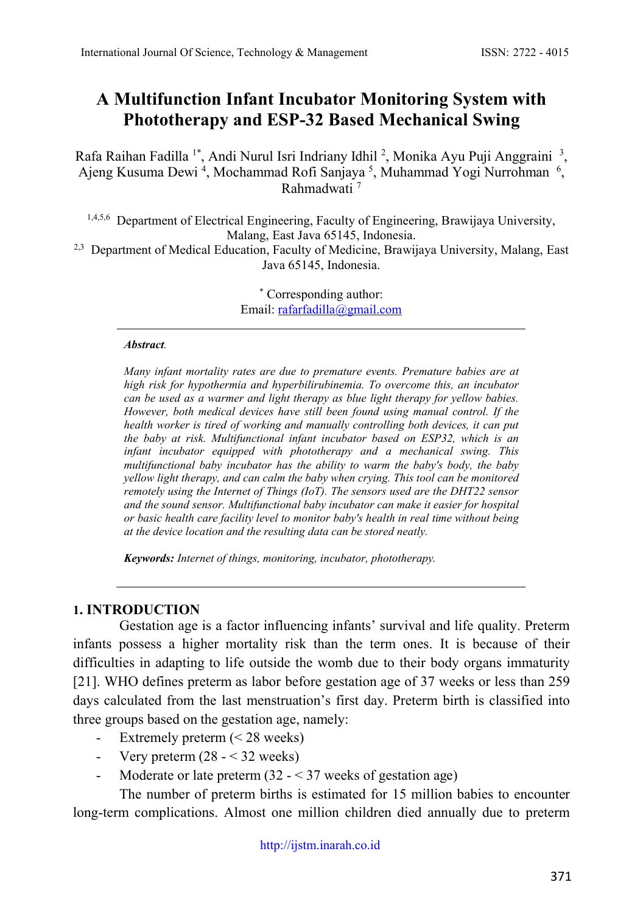# **A Multifunction Infant Incubator Monitoring System with Phototherapy and ESP-32 Based Mechanical Swing**

Rafa Raihan Fadilla<sup>1\*</sup>, Andi Nurul Isri Indriany Idhil<sup>2</sup>, Monika Ayu Puji Anggraini<sup>3</sup>, Ajeng Kusuma Dewi<sup>4</sup>, Mochammad Rofi Sanjaya<sup>5</sup>, Muhammad Yogi Nurrohman<sup>6</sup>, Rahmadwati 7

1,4,5,6 Department of Electrical Engineering, Faculty of Engineering, Brawijaya University, Malang, East Java 65145, Indonesia.

<sup>2,3</sup> Department of Medical Education, Faculty of Medicine, Brawijaya University, Malang, East Java 65145, Indonesia.

> \* Corresponding author: Email: [rafarfadilla@gmail.com](mailto:rafarfadilla@gmail.com)

#### *Abstract.*

*Many infant mortality rates are due to premature events. Premature babies are at high risk for hypothermia and hyperbilirubinemia. To overcome this, an incubator can be used as a warmer and light therapy as blue light therapy for yellow babies. However, both medical devices have still been found using manual control. If the health worker is tired of working and manually controlling both devices, it can put the baby at risk. Multifunctional infant incubator based on ESP32, which is an infant incubator equipped with phototherapy and a mechanical swing. This multifunctional baby incubator has the ability to warm the baby's body, the baby yellow light therapy, and can calm the baby when crying. This tool can be monitored remotely using the Internet of Things (IoT). The sensors used are the DHT22 sensor and the sound sensor. Multifunctional baby incubator can make it easier for hospital or basic health care facility level to monitor baby's health in real time without being at the device location and the resulting data can be stored neatly.*

*Keywords: Internet of things, monitoring, incubator, phototherapy.*

### **1. INTRODUCTION**

Gestation age is a factor influencing infants' survival and life quality. Preterm infants possess a higher mortality risk than the term ones. It is because of their difficulties in adapting to life outside the womb due to their body organs immaturity [21]. WHO defines preterm as labor before gestation age of 37 weeks or less than 259 days calculated from the last menstruation's first day. Preterm birth is classified into three groups based on the gestation age, namely:

- Extremely preterm (< 28 weeks)
- Very preterm  $(28 32$  weeks)
- Moderate or late preterm  $(32 37$  weeks of gestation age)

The number of preterm births is estimated for 15 million babies to encounter long-term complications. Almost one million children died annually due to preterm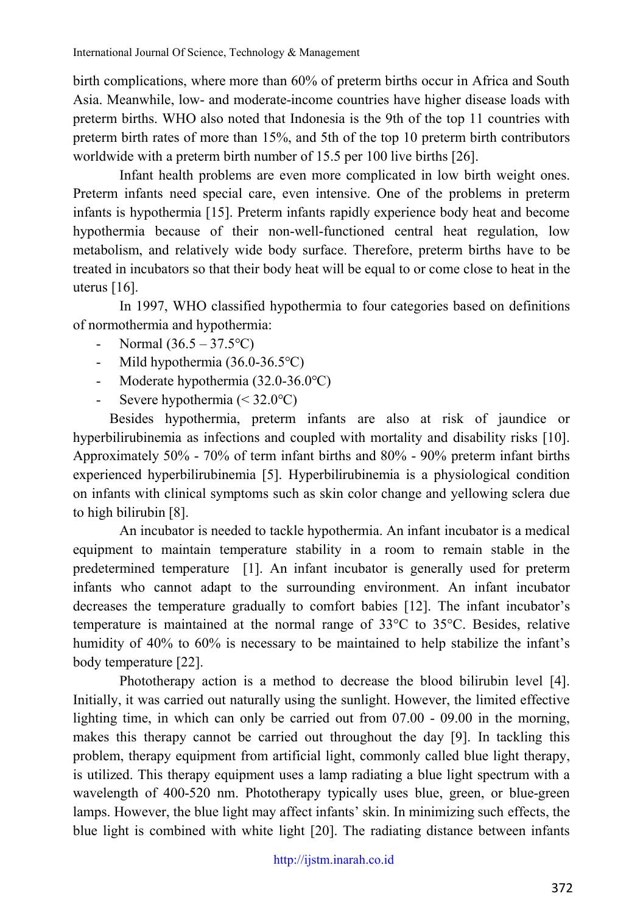birth complications, where more than 60% of preterm births occur in Africa and South Asia. Meanwhile, low- and moderate-income countries have higher disease loads with preterm births. WHO also noted that Indonesia is the 9th of the top 11 countries with preterm birth rates of more than 15%, and 5th of the top 10 preterm birth contributors worldwide with a preterm birth number of 15.5 per 100 live births [26].

Infant health problems are even more complicated in low birth weight ones. Preterm infants need special care, even intensive. One of the problems in preterm infants is hypothermia [15]. Preterm infants rapidly experience body heat and become hypothermia because of their non-well-functioned central heat regulation, low metabolism, and relatively wide body surface. Therefore, preterm births have to be treated in incubators so that their body heat will be equal to or come close to heat in the uterus [16].

In 1997, WHO classified hypothermia to four categories based on definitions of normothermia and hypothermia:

- Normal  $(36.5 37.5$ °C)
- Mild hypothermia (36.0-36.5℃)
- Moderate hypothermia (32.0-36.0℃)
- Severe hypothermia ( $\leq 32.0$ °C)

Besides hypothermia, preterm infants are also at risk of jaundice or hyperbilirubinemia as infections and coupled with mortality and disability risks [10]. Approximately 50% - 70% of term infant births and 80% - 90% preterm infant births experienced hyperbilirubinemia [5]. Hyperbilirubinemia is a physiological condition on infants with clinical symptoms such as skin color change and yellowing sclera due to high bilirubin [8].

An incubator is needed to tackle hypothermia. An infant incubator is a medical equipment to maintain temperature stability in a room to remain stable in the predetermined temperature [1]. An infant incubator is generally used for preterm infants who cannot adapt to the surrounding environment. An infant incubator decreases the temperature gradually to comfort babies [12]. The infant incubator's temperature is maintained at the normal range of 33°C to 35°C. Besides, relative humidity of 40% to 60% is necessary to be maintained to help stabilize the infant's body temperature [22].

Phototherapy action is a method to decrease the blood bilirubin level [4]. Initially, it was carried out naturally using the sunlight. However, the limited effective lighting time, in which can only be carried out from 07.00 - 09.00 in the morning, makes this therapy cannot be carried out throughout the day [9]. In tackling this problem, therapy equipment from artificial light, commonly called blue light therapy, is utilized. This therapy equipment uses a lamp radiating a blue light spectrum with a wavelength of 400-520 nm. Phototherapy typically uses blue, green, or blue-green lamps. However, the blue light may affect infants' skin. In minimizing such effects, the blue light is combined with white light [20]. The radiating distance between infants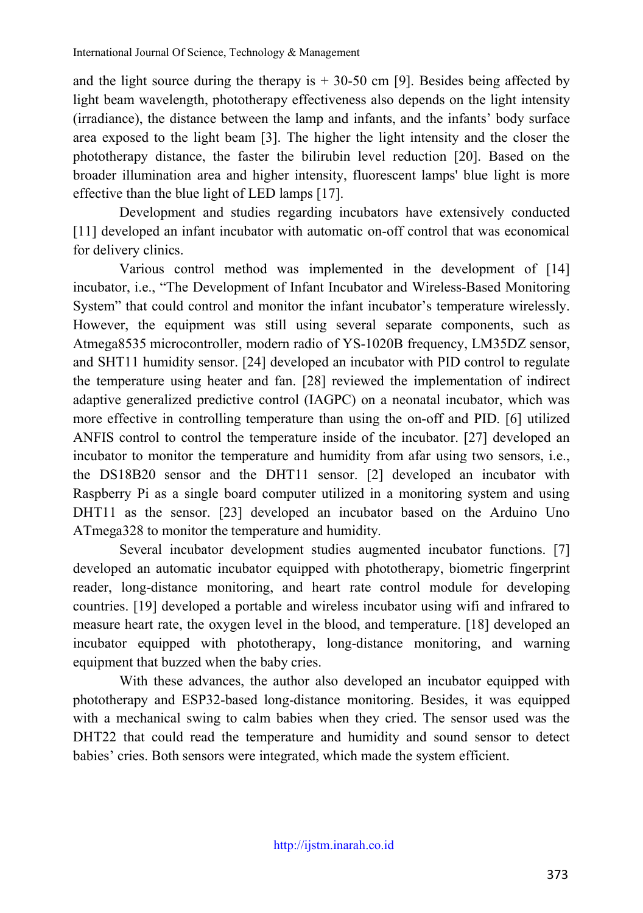and the light source during the therapy is  $+30-50$  cm [9]. Besides being affected by light beam wavelength, phototherapy effectiveness also depends on the light intensity (irradiance), the distance between the lamp and infants, and the infants' body surface area exposed to the light beam [3]. The higher the light intensity and the closer the phototherapy distance, the faster the bilirubin level reduction [20]. Based on the broader illumination area and higher intensity, fluorescent lamps' blue light is more effective than the blue light of LED lamps [17].

Development and studies regarding incubators have extensively conducted [11] developed an infant incubator with automatic on-off control that was economical for delivery clinics.

Various control method was implemented in the development of [14] incubator, i.e., "The Development of Infant Incubator and Wireless-Based Monitoring System" that could control and monitor the infant incubator's temperature wirelessly. However, the equipment was still using several separate components, such as Atmega8535 microcontroller, modern radio of YS-1020B frequency, LM35DZ sensor, and SHT11 humidity sensor. [24] developed an incubator with PID control to regulate the temperature using heater and fan. [28] reviewed the implementation of indirect adaptive generalized predictive control (IAGPC) on a neonatal incubator, which was more effective in controlling temperature than using the on-off and PID. [6] utilized ANFIS control to control the temperature inside of the incubator. [27] developed an incubator to monitor the temperature and humidity from afar using two sensors, i.e., the DS18B20 sensor and the DHT11 sensor. [2] developed an incubator with Raspberry Pi as a single board computer utilized in a monitoring system and using DHT11 as the sensor. [23] developed an incubator based on the Arduino Uno ATmega328 to monitor the temperature and humidity.

Several incubator development studies augmented incubator functions. [7] developed an automatic incubator equipped with phototherapy, biometric fingerprint reader, long-distance monitoring, and heart rate control module for developing countries. [19] developed a portable and wireless incubator using wifi and infrared to measure heart rate, the oxygen level in the blood, and temperature. [18] developed an incubator equipped with phototherapy, long-distance monitoring, and warning equipment that buzzed when the baby cries.

With these advances, the author also developed an incubator equipped with phototherapy and ESP32-based long-distance monitoring. Besides, it was equipped with a mechanical swing to calm babies when they cried. The sensor used was the DHT22 that could read the temperature and humidity and sound sensor to detect babies' cries. Both sensors were integrated, which made the system efficient.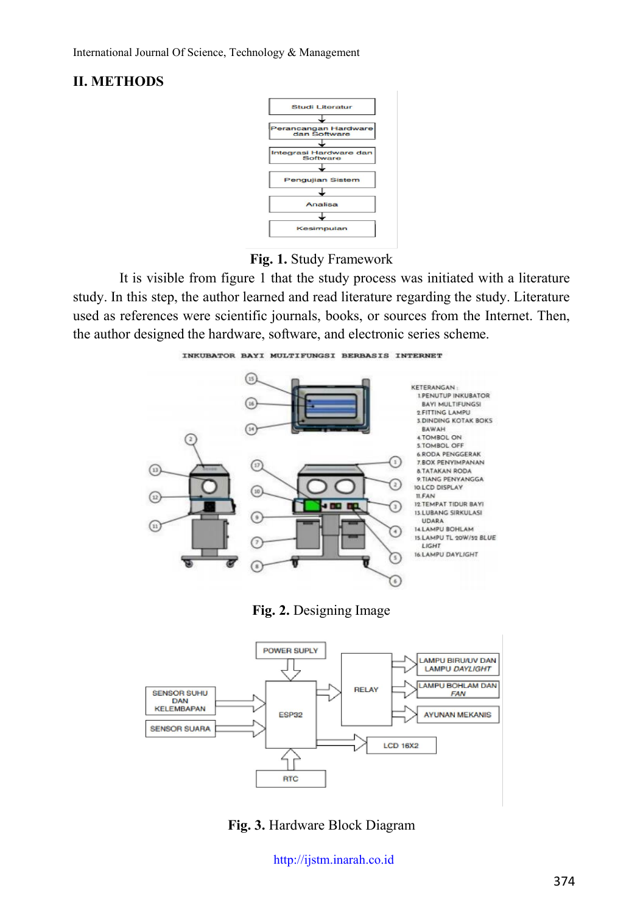### **II. METHODS**



**Fig. 1.** Study Framework

It is visible from figure 1 that the study process was initiated with a literature study. In this step, the author learned and read literature regarding the study. Literature used as references were scientific journals, books, or sources from the Internet. Then, the author designed the hardware, software, and electronic series scheme.

INKUBATOR BAYI MULTIFUNGSI BERBASIS INTERNET



**Fig. 2.** Designing Image



**Fig. 3.** Hardware Block Diagram

[http://ijstm.inarah.co.id](http://ijstm.inarah.co.id/index.php/ijstm/about/submissions)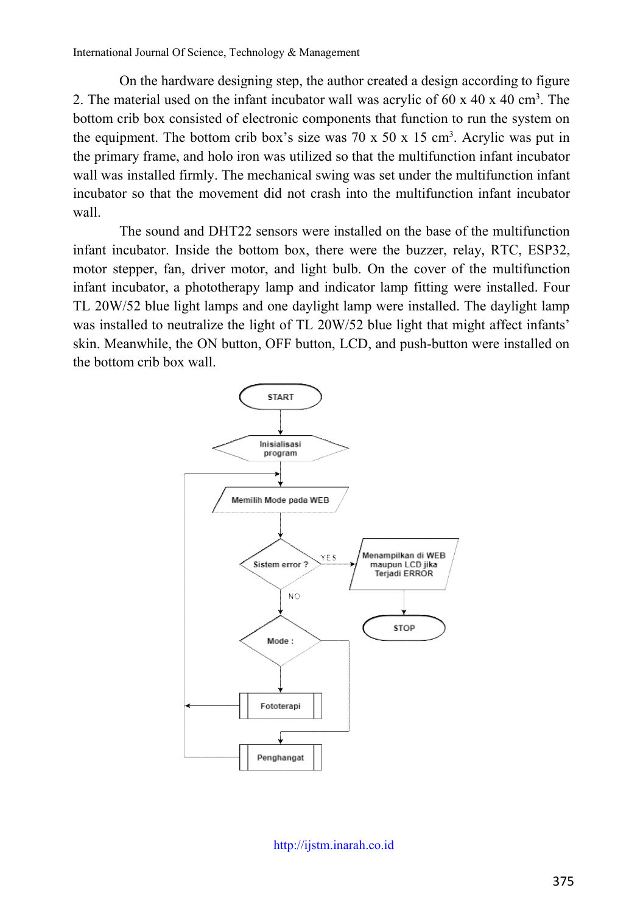On the hardware designing step, the author created a design according to figure 2. The material used on the infant incubator wall was acrylic of  $60 \times 40 \times 40 \text{ cm}^3$ . The bottom crib box consisted of electronic components that function to run the system on the equipment. The bottom crib box's size was  $70 \times 50 \times 15$  cm<sup>3</sup>. Acrylic was put in the primary frame, and holo iron was utilized so that the multifunction infant incubator wall was installed firmly. The mechanical swing was set under the multifunction infant incubator so that the movement did not crash into the multifunction infant incubator wall.

The sound and DHT22 sensors were installed on the base of the multifunction infant incubator. Inside the bottom box, there were the buzzer, relay, RTC, ESP32, motor stepper, fan, driver motor, and light bulb. On the cover of the multifunction infant incubator, a phototherapy lamp and indicator lamp fitting were installed. Four TL 20W/52 blue light lamps and one daylight lamp were installed. The daylight lamp was installed to neutralize the light of TL 20W/52 blue light that might affect infants' skin. Meanwhile, the ON button, OFF button, LCD, and push-button were installed on the bottom crib box wall.



[http://ijstm.inarah.co.id](http://ijstm.inarah.co.id/index.php/ijstm/about/submissions)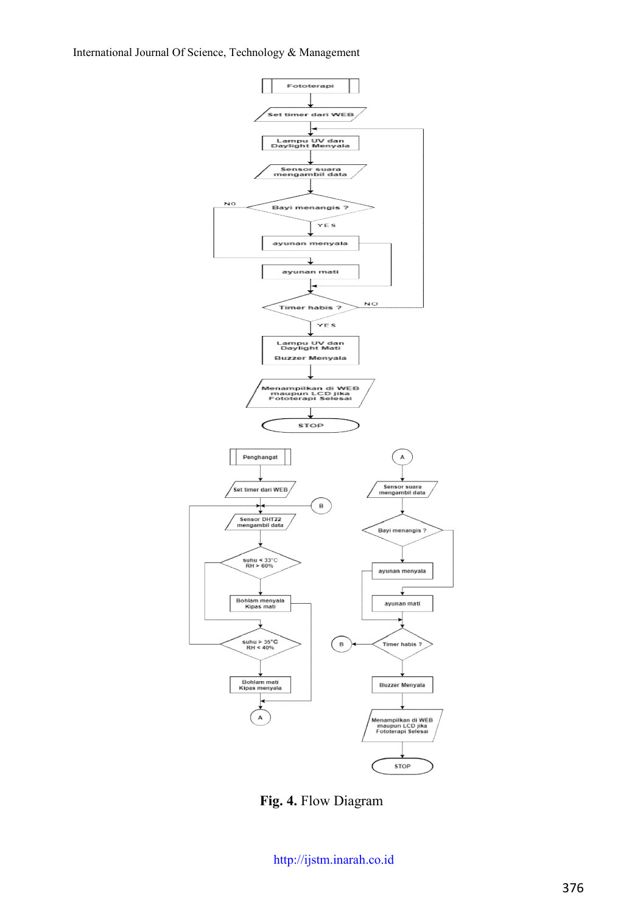

**Fig. 4.** Flow Diagram

[http://ijstm.inarah.co.id](http://ijstm.inarah.co.id/index.php/ijstm/about/submissions)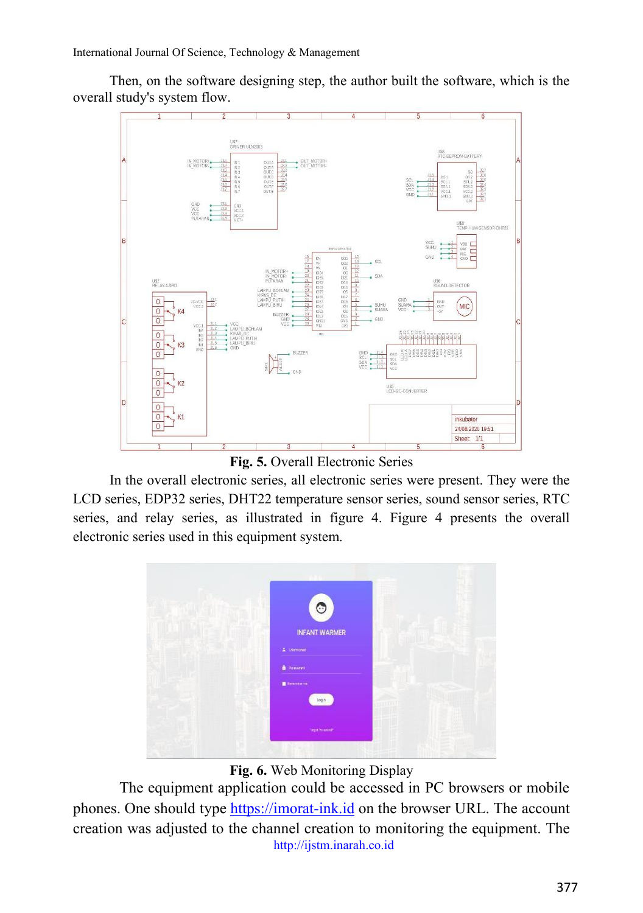Then, on the software designing step, the author built the software, which is the overall study's system flow.



**Fig. 5.** Overall Electronic Series

In the overall electronic series, all electronic series were present. They were the LCD series, EDP32 series, DHT22 temperature sensor series, sound sensor series, RTC series, and relay series, as illustrated in figure 4. Figure 4 presents the overall electronic series used in this equipment system.



**Fig. 6.** Web Monitoring Display

[http://ijstm.inarah.co.id](http://ijstm.inarah.co.id/index.php/ijstm/about/submissions) The equipment application could be accessed in PC browsers or mobile phones. One should type [https://imorat-ink.id](https://imorat-ink.id/) on the browser URL. The account creation was adjusted to the channel creation to monitoring the equipment. The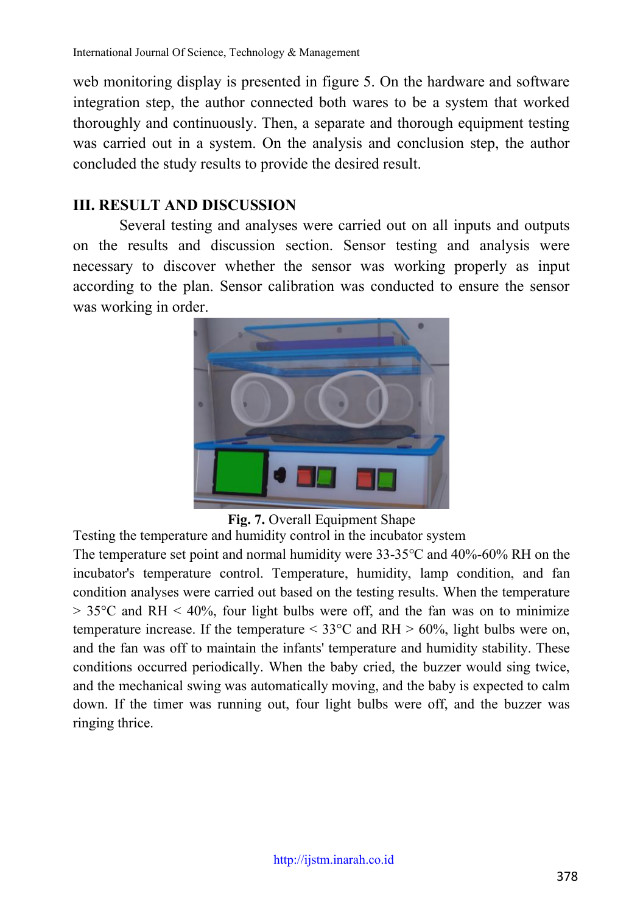web monitoring display is presented in figure 5. On the hardware and software integration step, the author connected both wares to be a system that worked thoroughly and continuously. Then, a separate and thorough equipment testing was carried out in a system. On the analysis and conclusion step, the author concluded the study results to provide the desired result.

### **III. RESULT AND DISCUSSION**

Several testing and analyses were carried out on all inputs and outputs on the results and discussion section. Sensor testing and analysis were necessary to discover whether the sensor was working properly as input according to the plan. Sensor calibration was conducted to ensure the sensor was working in order.



**Fig. 7.** Overall Equipment Shape

Testing the temperature and humidity control in the incubator system

The temperature set point and normal humidity were 33-35℃ and 40%-60% RH on the incubator's temperature control. Temperature, humidity, lamp condition, and fan condition analyses were carried out based on the testing results. When the temperature  $> 35^{\circ}$ C and RH  $< 40\%$ , four light bulbs were off, and the fan was on to minimize temperature increase. If the temperature  $\leq 33^{\circ}$ C and RH  $> 60\%$ , light bulbs were on, and the fan was off to maintain the infants' temperature and humidity stability. These conditions occurred periodically. When the baby cried, the buzzer would sing twice, and the mechanical swing was automatically moving, and the baby is expected to calm down. If the timer was running out, four light bulbs were off, and the buzzer was ringing thrice.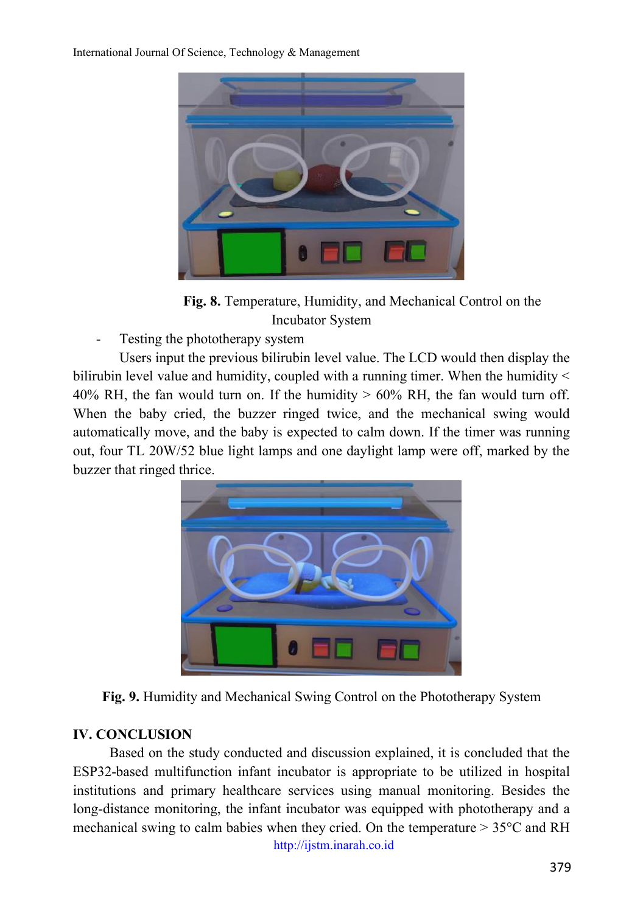

**Fig. 8.** Temperature, Humidity, and Mechanical Control on the Incubator System

Testing the phototherapy system

Users input the previous bilirubin level value. The LCD would then display the bilirubin level value and humidity, coupled with a running timer. When the humidity < 40% RH, the fan would turn on. If the humidity  $> 60\%$  RH, the fan would turn off. When the baby cried, the buzzer ringed twice, and the mechanical swing would automatically move, and the baby is expected to calm down. If the timer was running out, four TL 20W/52 blue light lamps and one daylight lamp were off, marked by the buzzer that ringed thrice.



**Fig. 9.** Humidity and Mechanical Swing Control on the Phototherapy System

## **IV. CONCLUSION**

[http://ijstm.inarah.co.id](http://ijstm.inarah.co.id/index.php/ijstm/about/submissions) Based on the study conducted and discussion explained, it is concluded that the ESP32-based multifunction infant incubator is appropriate to be utilized in hospital institutions and primary healthcare services using manual monitoring. Besides the long-distance monitoring, the infant incubator was equipped with phototherapy and a mechanical swing to calm babies when they cried. On the temperature  $> 35^{\circ}$ C and RH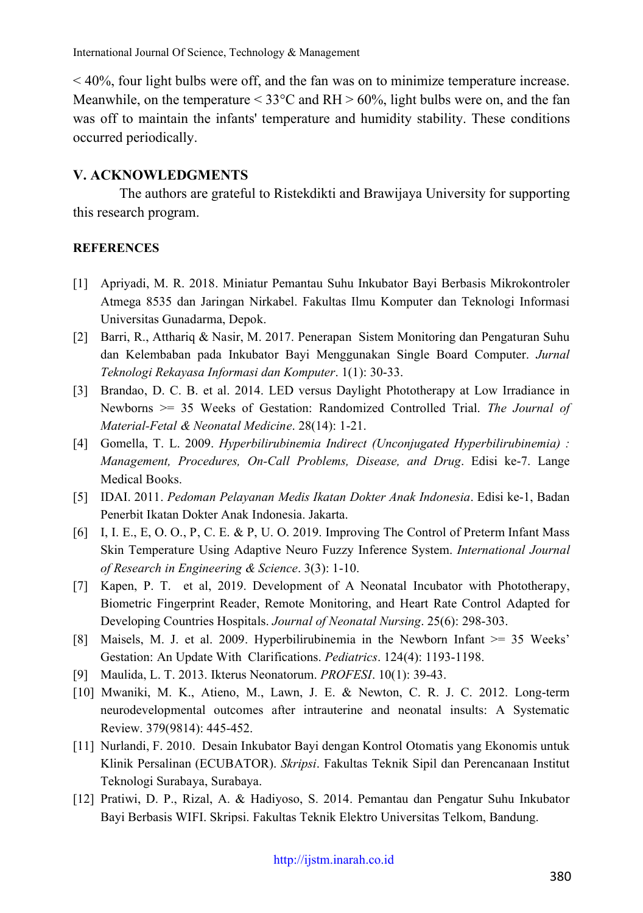< 40%, four light bulbs were off, and the fan was on to minimize temperature increase. Meanwhile, on the temperature  $\leq$  33°C and RH  $>$  60%, light bulbs were on, and the fan was off to maintain the infants' temperature and humidity stability. These conditions occurred periodically.

#### **V. ACKNOWLEDGMENTS**

The authors are grateful to Ristekdikti and Brawijaya University for supporting this research program.

#### **REFERENCES**

- [1] Apriyadi, M. R. 2018. Miniatur Pemantau Suhu Inkubator Bayi Berbasis Mikrokontroler Atmega 8535 dan Jaringan Nirkabel. Fakultas Ilmu Komputer dan Teknologi Informasi Universitas Gunadarma, Depok.
- [2] Barri, R., Atthariq & Nasir, M. 2017. Penerapan Sistem Monitoring dan Pengaturan Suhu dan Kelembaban pada Inkubator Bayi Menggunakan Single Board Computer. *Jurnal Teknologi Rekayasa Informasi dan Komputer*. 1(1): 30-33.
- [3] Brandao, D. C. B. et al. 2014. LED versus Daylight Phototherapy at Low Irradiance in Newborns >= 35 Weeks of Gestation: Randomized Controlled Trial. *The Journal of Material-Fetal & Neonatal Medicine*. 28(14): 1-21.
- [4] Gomella, T. L. 2009. *Hyperbilirubinemia Indirect (Unconjugated Hyperbilirubinemia) : Management, Procedures, On-Call Problems, Disease, and Drug*. Edisi ke-7. Lange Medical Books.
- [5] IDAI. 2011. *Pedoman Pelayanan Medis Ikatan Dokter Anak Indonesia*. Edisi ke-1, Badan Penerbit Ikatan Dokter Anak Indonesia. Jakarta.
- [6] I, I. E., E, O. O., P, C. E. & P, U. O. 2019. Improving The Control of Preterm Infant Mass Skin Temperature Using Adaptive Neuro Fuzzy Inference System. *International Journal of Research in Engineering & Science*. 3(3): 1-10.
- [7] Kapen, P. T. et al, 2019. Development of A Neonatal Incubator with Phototherapy, Biometric Fingerprint Reader, Remote Monitoring, and Heart Rate Control Adapted for Developing Countries Hospitals. *Journal of Neonatal Nursing*. 25(6): 298-303.
- [8] Maisels, M. J. et al. 2009. Hyperbilirubinemia in the Newborn Infant >= 35 Weeks' Gestation: An Update With Clarifications. *Pediatrics*. 124(4): 1193-1198.
- [9] Maulida, L. T. 2013. Ikterus Neonatorum. *PROFESI*. 10(1): 39-43.
- [10] Mwaniki, M. K., Atieno, M., Lawn, J. E. & Newton, C. R. J. C. 2012. Long-term neurodevelopmental outcomes after intrauterine and neonatal insults: A Systematic Review. 379(9814): 445-452.
- [11] Nurlandi, F. 2010. Desain Inkubator Bayi dengan Kontrol Otomatis yang Ekonomis untuk Klinik Persalinan (ECUBATOR). *Skripsi*. Fakultas Teknik Sipil dan Perencanaan Institut Teknologi Surabaya, Surabaya.
- [12] Pratiwi, D. P., Rizal, A. & Hadiyoso, S. 2014. Pemantau dan Pengatur Suhu Inkubator Bayi Berbasis WIFI. Skripsi. Fakultas Teknik Elektro Universitas Telkom, Bandung.